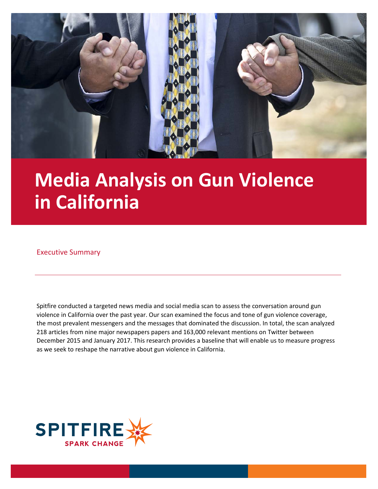

# **Media Analysis on Gun Violence in California**

#### Executive Summary

Spitfire conducted a targeted news media and social media scan to assess the conversation around gun violence in California over the past year. Our scan examined the focus and tone of gun violence coverage, the most prevalent messengers and the messages that dominated the discussion. In total, the scan analyzed 218 articles from nine major newspapers papers and 163,000 relevant mentions on Twitter between December 2015 and January 2017. This research provides a baseline that will enable us to measure progress as we seek to reshape the narrative about gun violence in California.

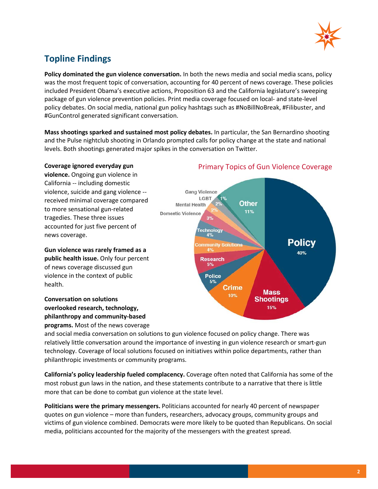

### **Topline Findings**

**Policy dominated the gun violence conversation.** In both the news media and social media scans, policy was the most frequent topic of conversation, accounting for 40 percent of news coverage. These policies included President Obama's executive actions, Proposition 63 and the California legislature's sweeping package of gun violence prevention policies. Print media coverage focused on local- and state-level policy debates. On social media, national gun policy hashtags such as #NoBillNoBreak, #Filibuster, and #GunControl generated significant conversation.

**Mass shootings sparked and sustained most policy debates.** In particular, the San Bernardino shooting and the Pulse nightclub shooting in Orlando prompted calls for policy change at the state and national levels. Both shootings generated major spikes in the conversation on Twitter.

#### **Coverage ignored everyday gun**

**violence.** Ongoing gun violence in California -- including domestic violence, suicide and gang violence - received minimal coverage compared to more sensational gun-related tragedies. These three issues accounted for just five percent of news coverage.

**Gun violence was rarely framed as a public health issue.** Only four percent of news coverage discussed gun violence in the context of public health.

#### **Conversation on solutions overlooked research, technology, philanthropy and community-based programs.** Most of the news coverage

## Primary Topics of Gun Violence Coverage



and social media conversation on solutions to gun violence focused on policy change. There was relatively little conversation around the importance of investing in gun violence research or smart-gun technology. Coverage of local solutions focused on initiatives within police departments, rather than philanthropic investments or community programs.

**California's policy leadership fueled complacency.** Coverage often noted that California has some of the most robust gun laws in the nation, and these statements contribute to a narrative that there is little more that can be done to combat gun violence at the state level.

**Politicians were the primary messengers.** Politicians accounted for nearly 40 percent of newspaper quotes on gun violence – more than funders, researchers, advocacy groups, community groups and victims of gun violence combined. Democrats were more likely to be quoted than Republicans. On social media, politicians accounted for the majority of the messengers with the greatest spread.